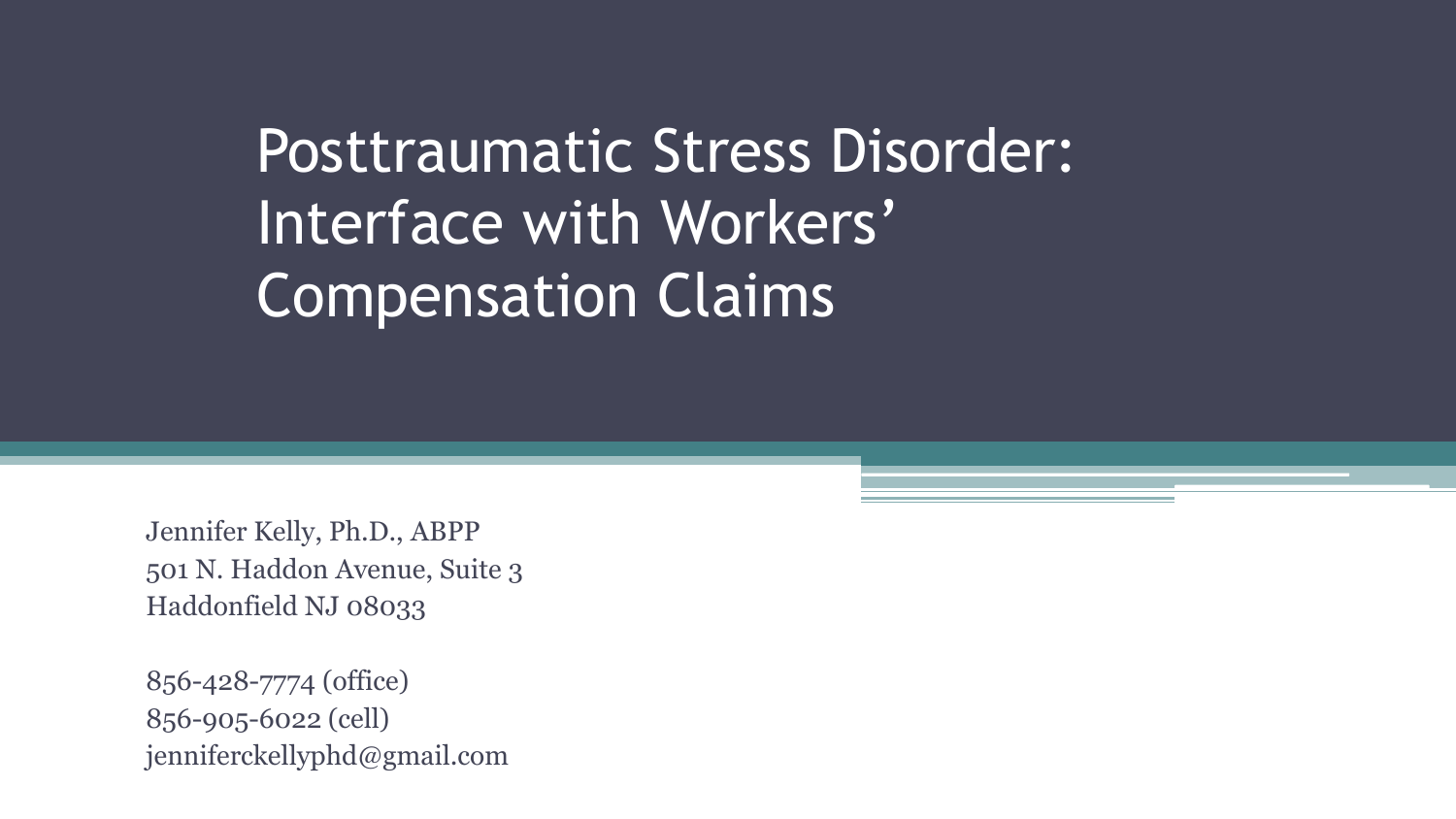# Posttraumatic Stress Disorder: Interface with Workers' Compensation Claims

Jennifer Kelly, Ph.D., ABPP 501 N. Haddon Avenue, Suite 3 Haddonfield NJ 08033

856-428-7774 (office) 856-905-6022 (cell) jenniferckellyphd@gmail.com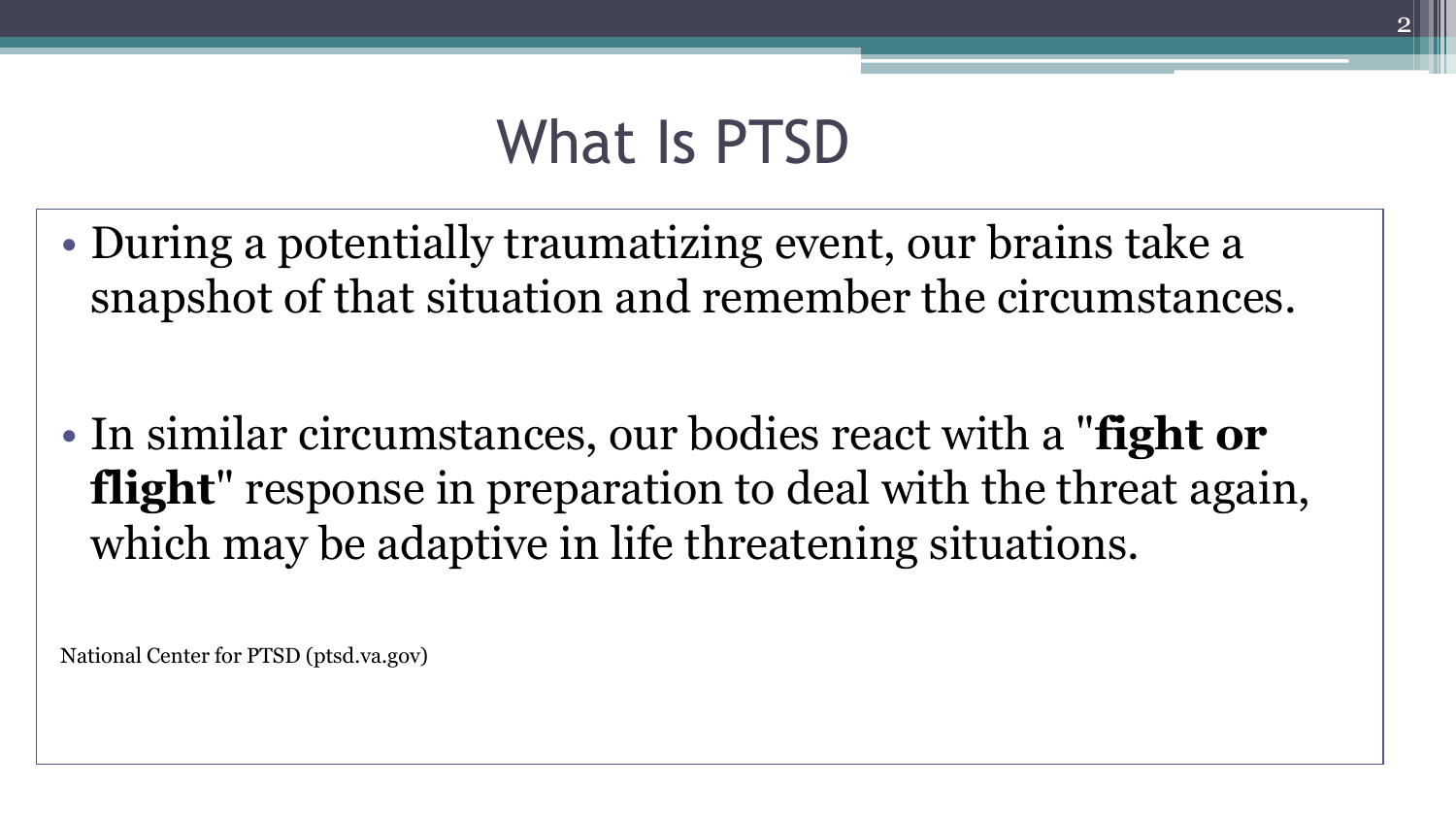## What Is PTSD

• During a potentially traumatizing event, our brains take a snapshot of that situation and remember the circumstances.

• In similar circumstances, our bodies react with a "**fight or flight**" response in preparation to deal with the threat again, which may be adaptive in life threatening situations.

National Center for PTSD (ptsd.va.gov)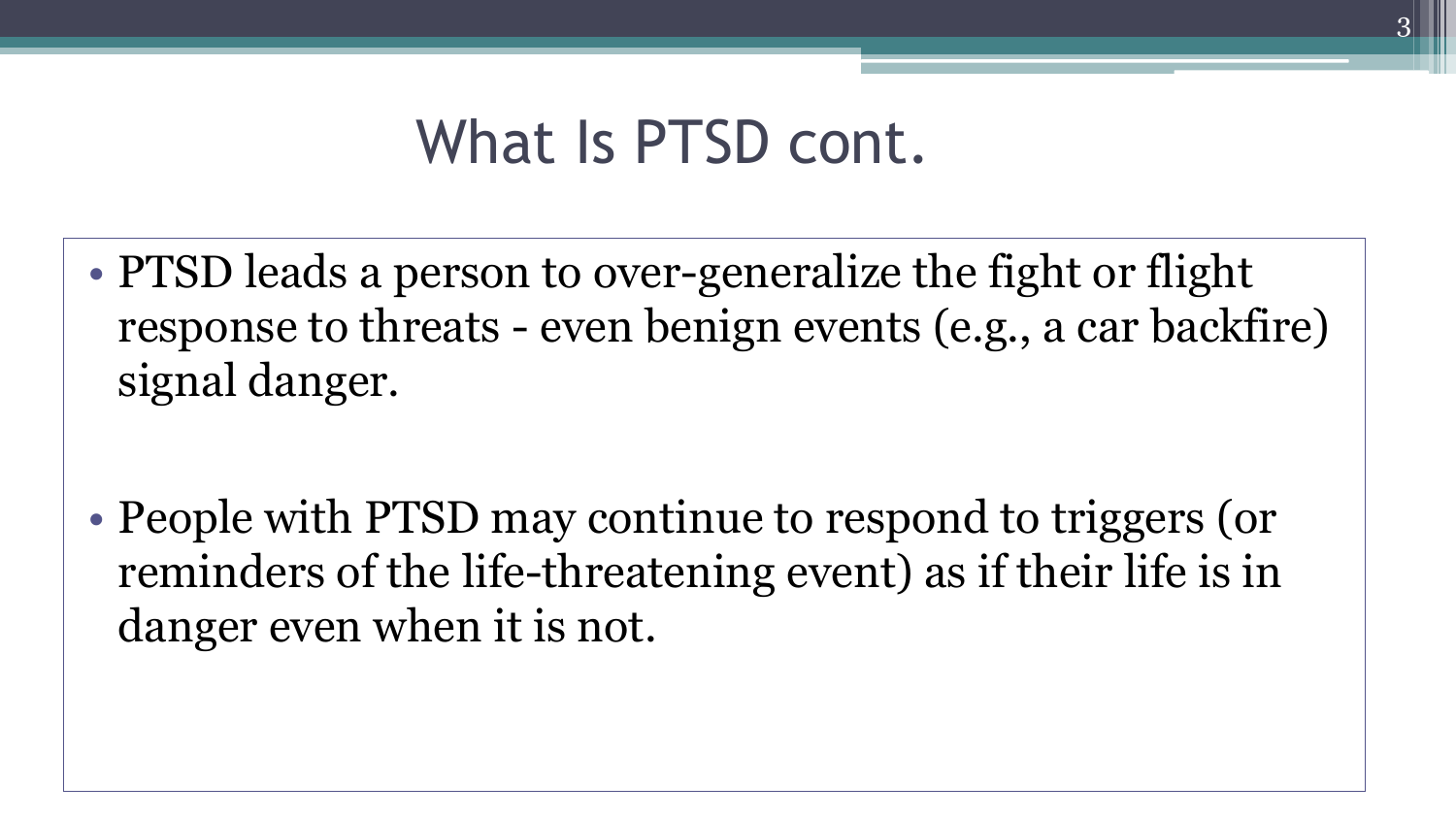### What Is PTSD cont.

• PTSD leads a person to over-generalize the fight or flight response to threats - even benign events (e.g., a car backfire) signal danger.

• People with PTSD may continue to respond to triggers (or reminders of the life-threatening event) as if their life is in danger even when it is not.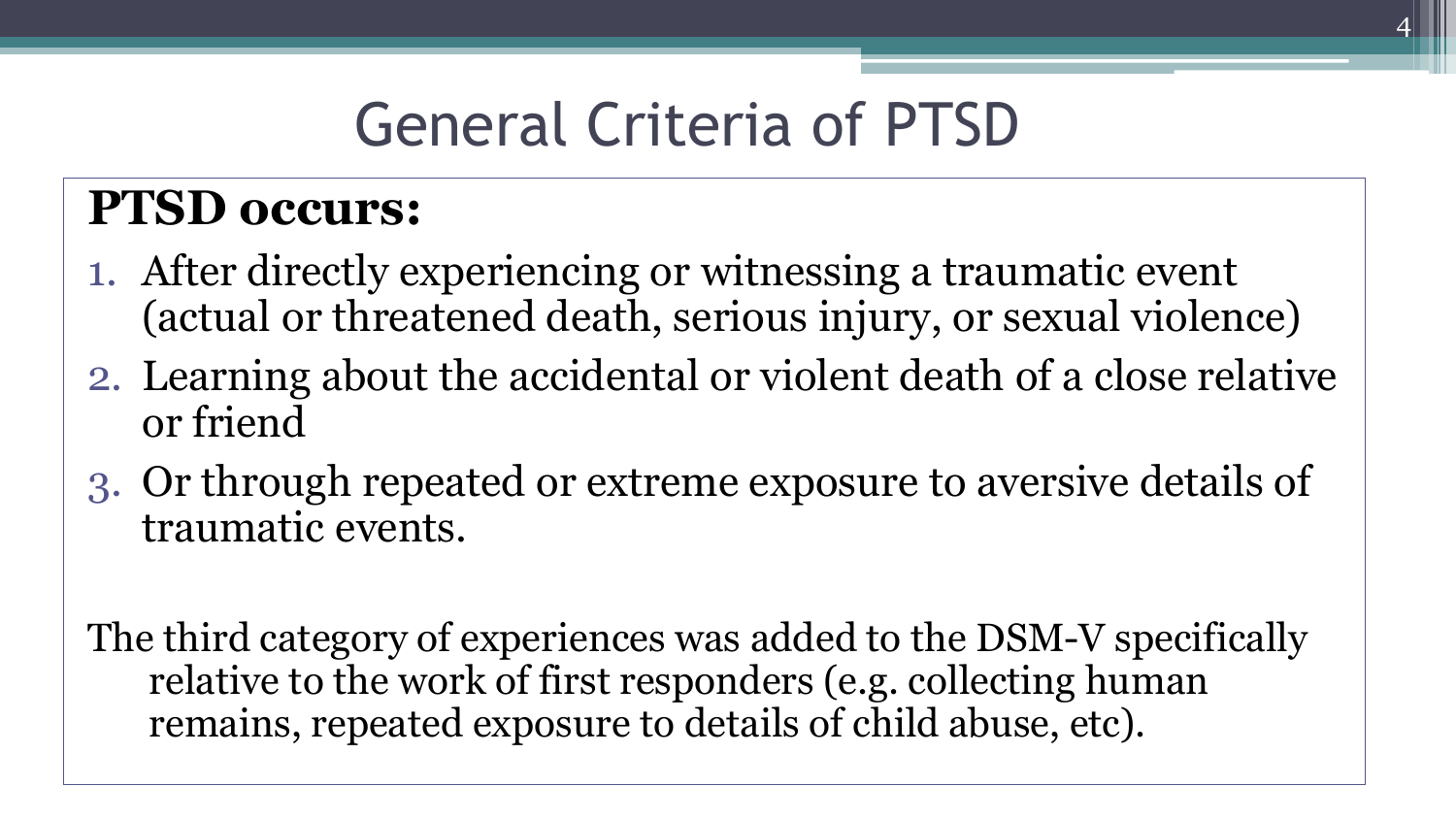# General Criteria of PTSD

### **PTSD occurs:**

- 1. After directly experiencing or witnessing a traumatic event (actual or threatened death, serious injury, or sexual violence)
- 2. Learning about the accidental or violent death of a close relative or friend
- 3. Or through repeated or extreme exposure to aversive details of traumatic events.

The third category of experiences was added to the DSM-V specifically relative to the work of first responders (e.g. collecting human remains, repeated exposure to details of child abuse, etc).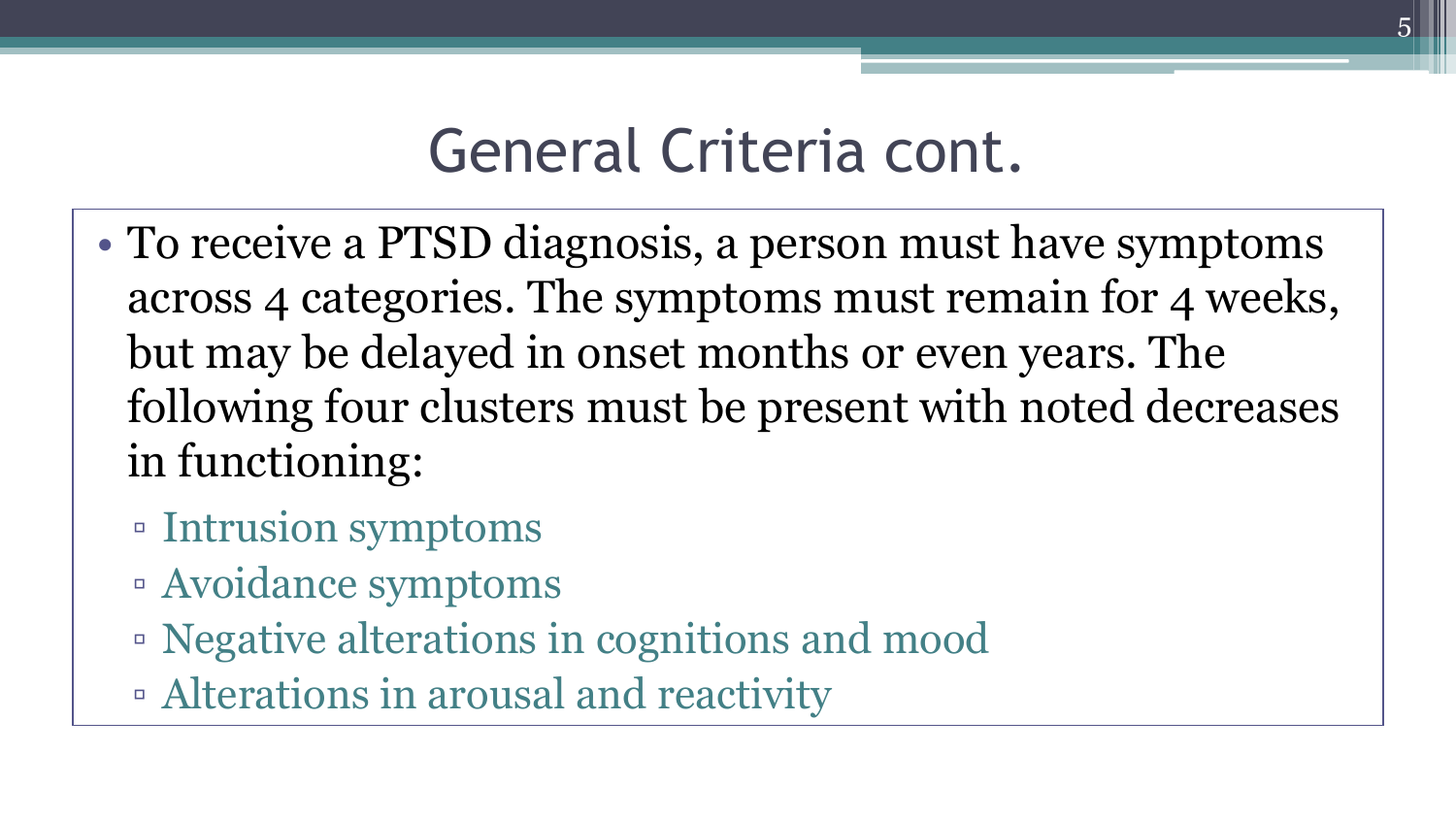### General Criteria cont.

- To receive a PTSD diagnosis, a person must have symptoms across 4 categories. The symptoms must remain for 4 weeks, but may be delayed in onset months or even years. The following four clusters must be present with noted decreases in functioning:
	- Intrusion symptoms
	- Avoidance symptoms
	- Negative alterations in cognitions and mood
	- Alterations in arousal and reactivity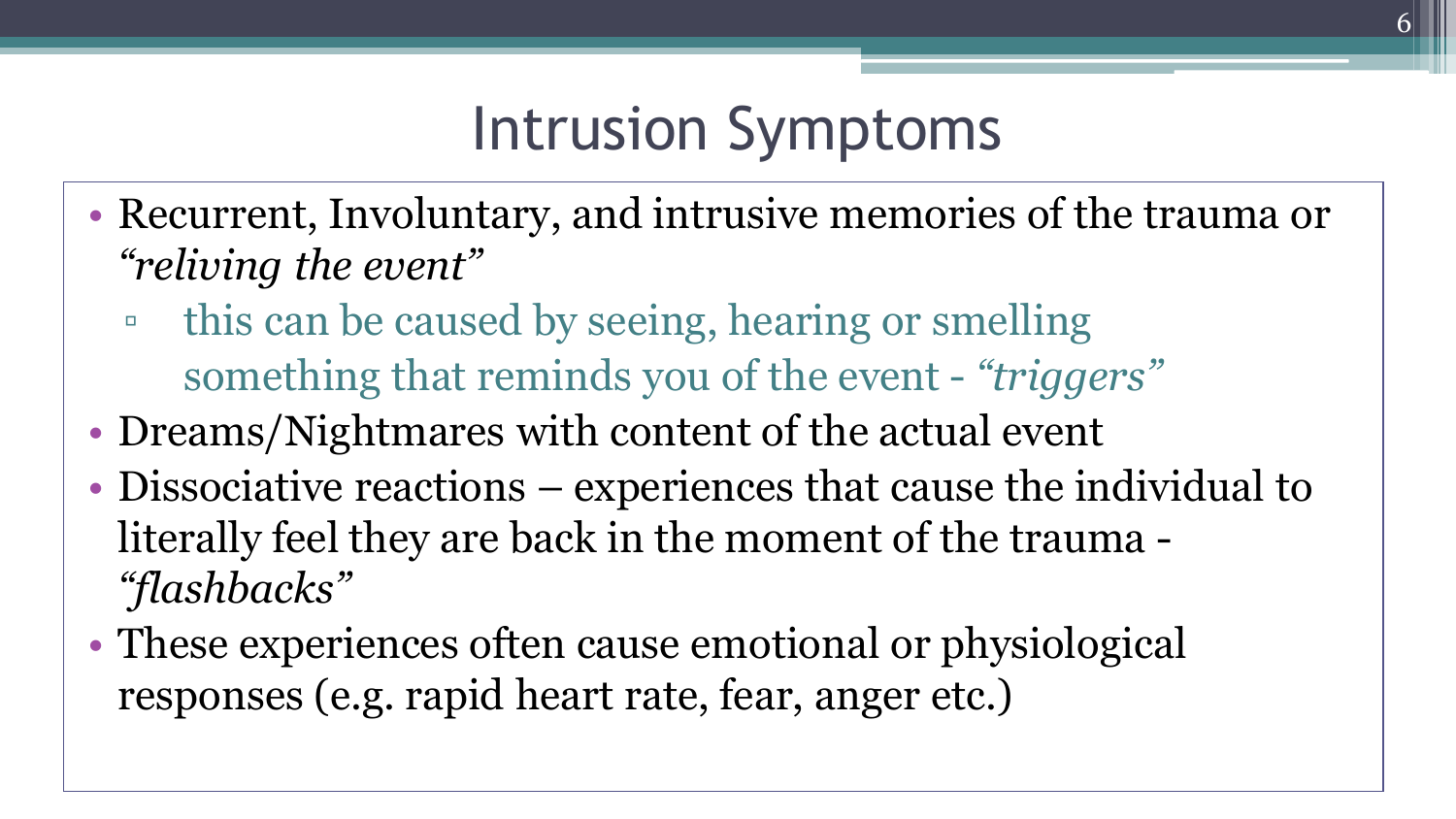## Intrusion Symptoms

- Recurrent, Involuntary, and intrusive memories of the trauma or *"reliving the event"*
	- this can be caused by seeing, hearing or smelling something that reminds you of the event - *"triggers"*
- Dreams/Nightmares with content of the actual event
- Dissociative reactions experiences that cause the individual to literally feel they are back in the moment of the trauma - *"flashbacks"*
- These experiences often cause emotional or physiological responses (e.g. rapid heart rate, fear, anger etc.)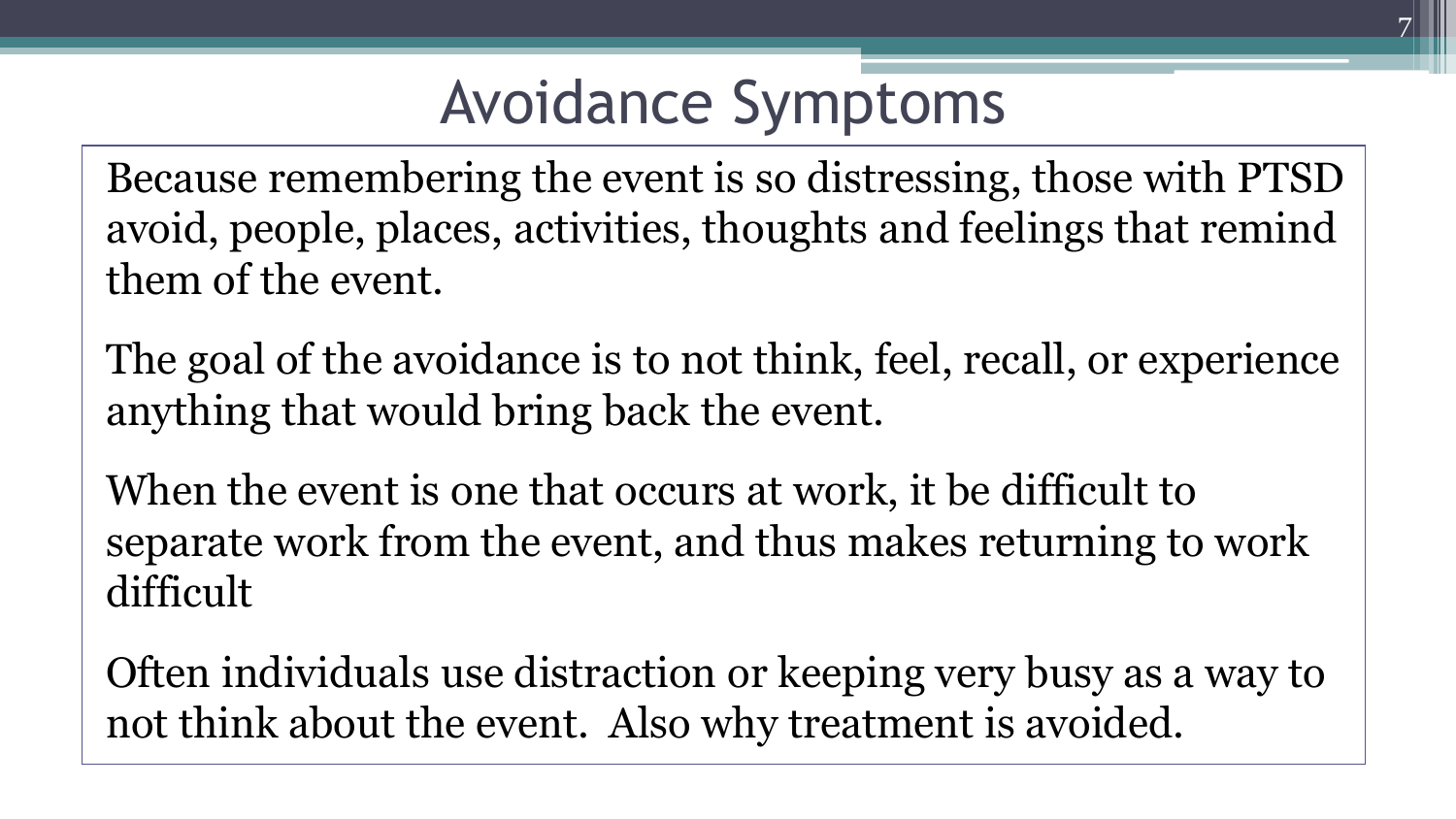## Avoidance Symptoms

Because remembering the event is so distressing, those with PTSD avoid, people, places, activities, thoughts and feelings that remind them of the event.

The goal of the avoidance is to not think, feel, recall, or experience anything that would bring back the event.

When the event is one that occurs at work, it be difficult to separate work from the event, and thus makes returning to work difficult

Often individuals use distraction or keeping very busy as a way to not think about the event. Also why treatment is avoided.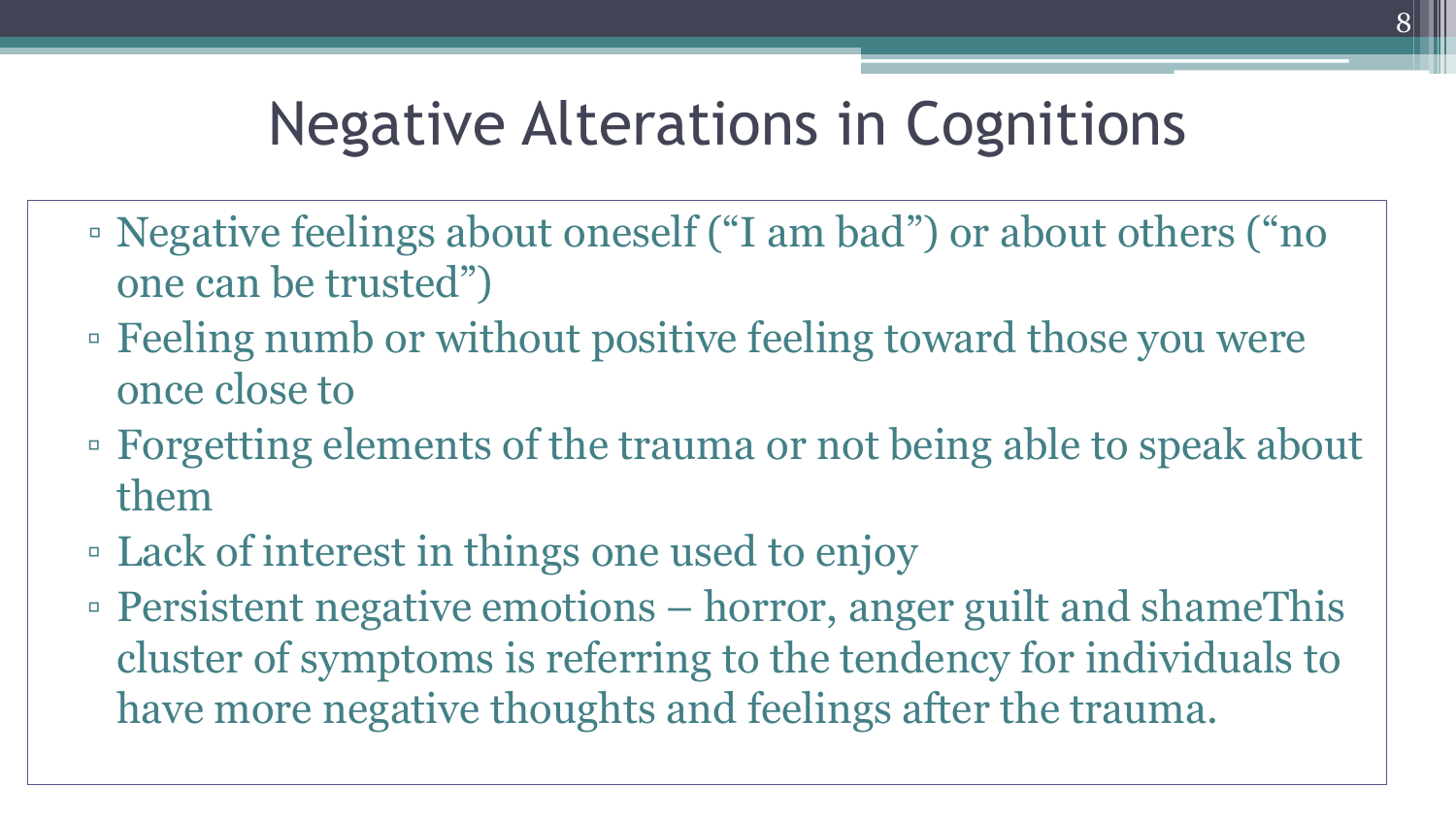## Negative Alterations in Cognitions

- Negative feelings about oneself ("I am bad") or about others ("no one can be trusted")
- Feeling numb or without positive feeling toward those you were once close to
- Forgetting elements of the trauma or not being able to speak about them
- Lack of interest in things one used to enjoy
- Persistent negative emotions horror, anger guilt and shameThis cluster of symptoms is referring to the tendency for individuals to have more negative thoughts and feelings after the trauma.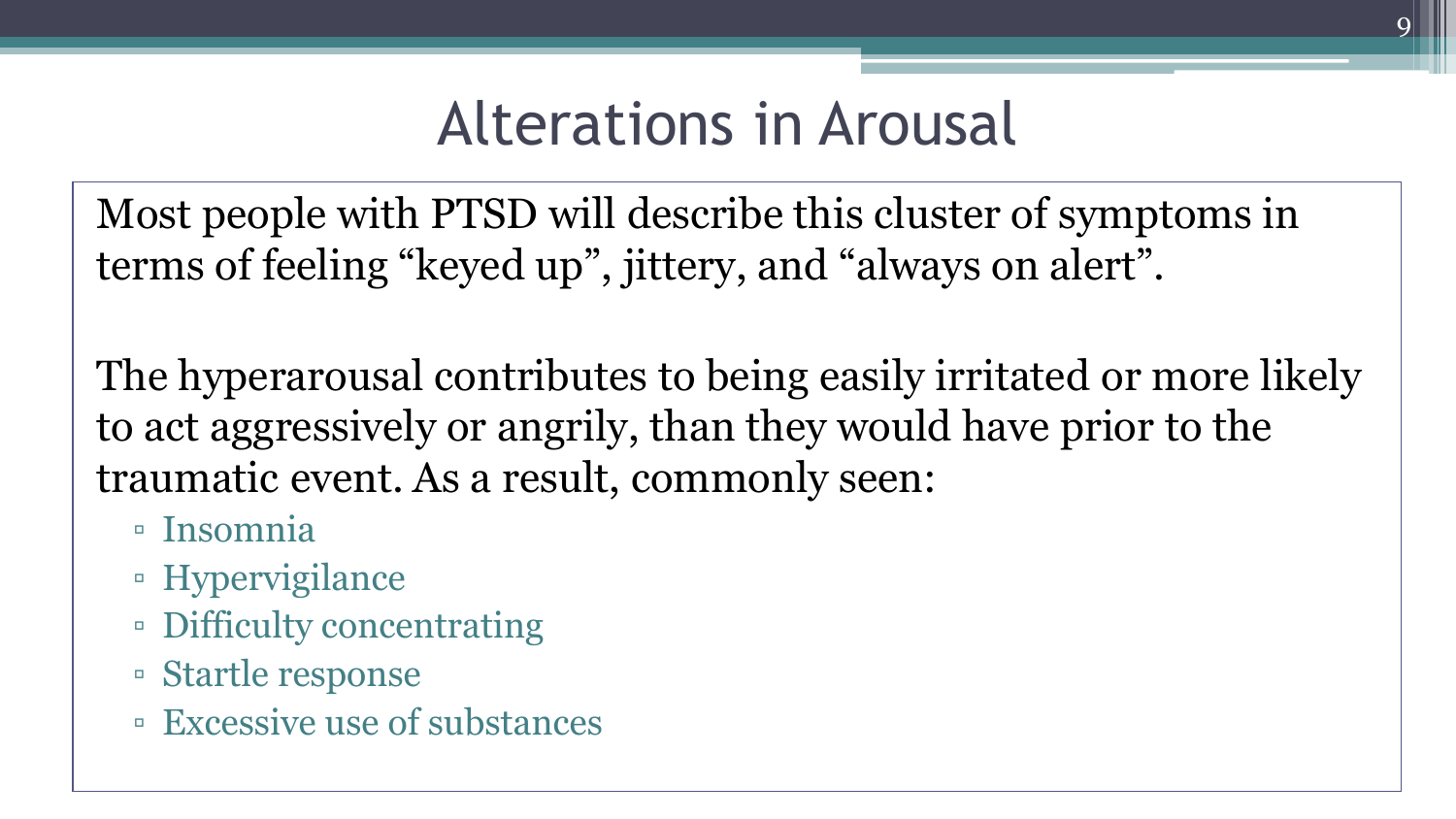## Alterations in Arousal

9

Most people with PTSD will describe this cluster of symptoms in terms of feeling "keyed up", jittery, and "always on alert".

The hyperarousal contributes to being easily irritated or more likely to act aggressively or angrily, than they would have prior to the traumatic event. As a result, commonly seen:

- Insomnia
- Hypervigilance
- Difficulty concentrating
- Startle response
- Excessive use of substances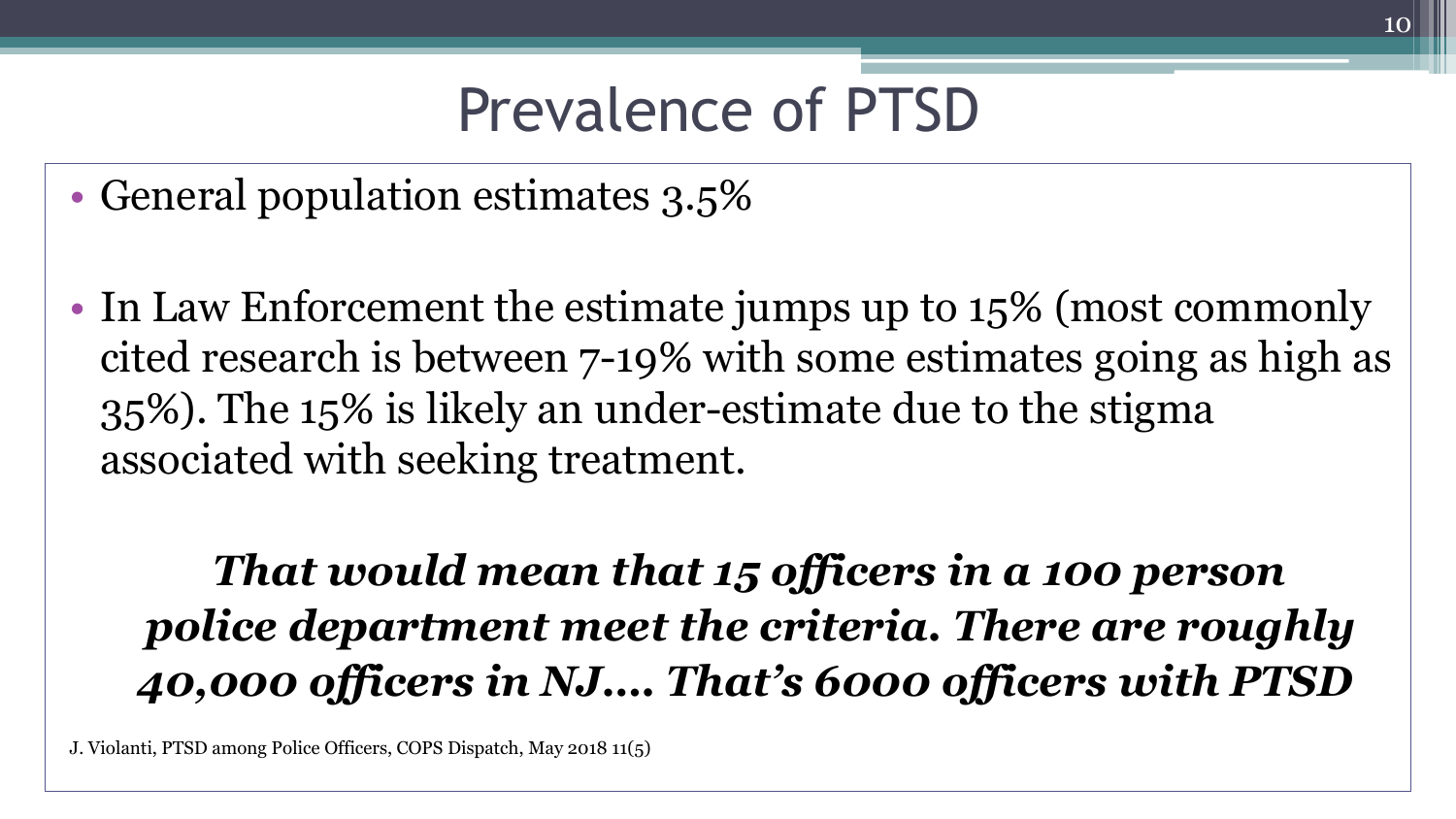## Prevalence of PTSD

- General population estimates 3.5%
- In Law Enforcement the estimate jumps up to 15% (most commonly cited research is between 7-19% with some estimates going as high as 35%). The 15% is likely an under-estimate due to the stigma associated with seeking treatment.

*That would mean that 15 officers in a 100 person police department meet the criteria. There are roughly 40,000 officers in NJ…. That's 6000 officers with PTSD*

J. Violanti, PTSD among Police Officers, COPS Dispatch, May 2018 11(5)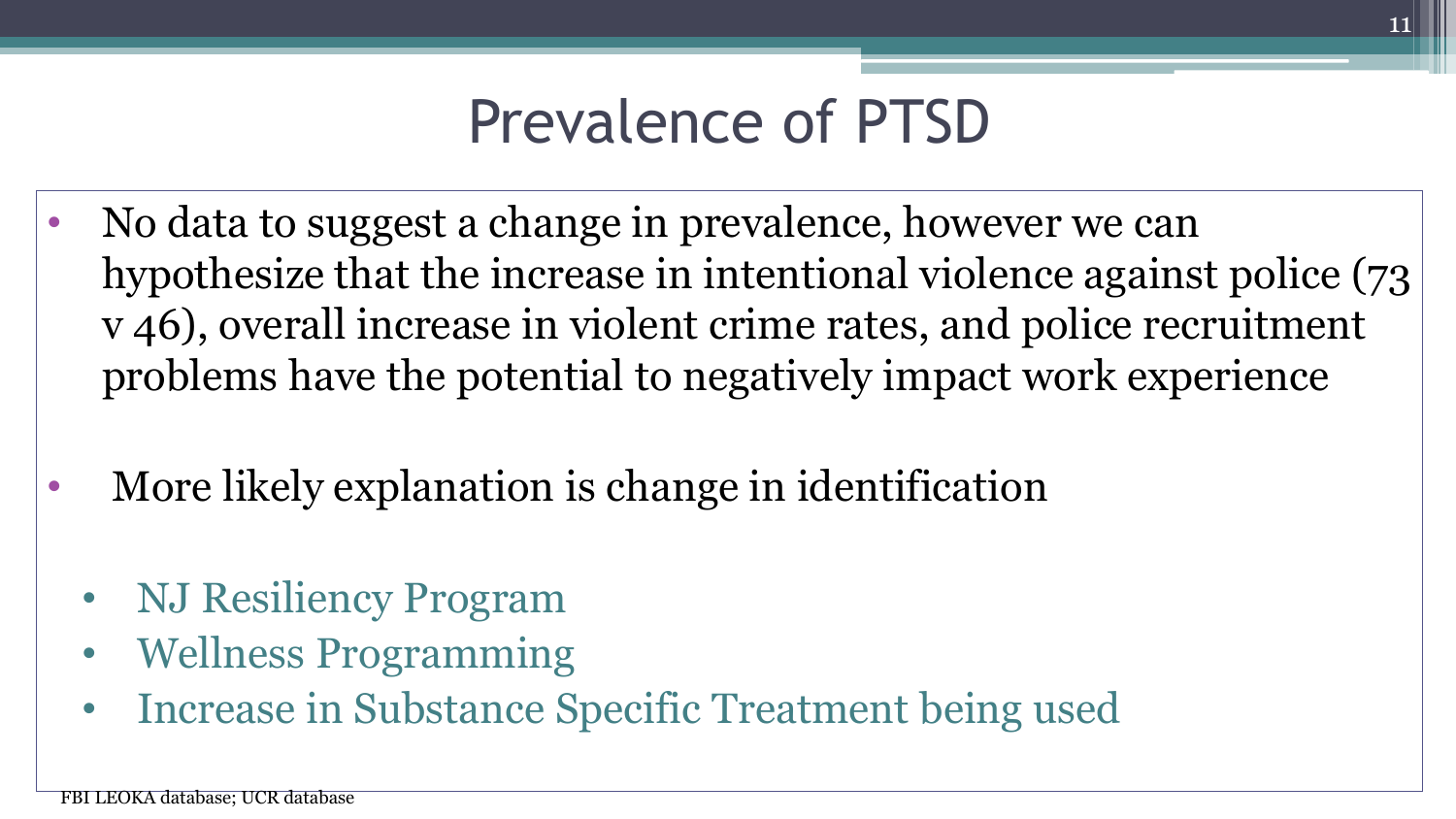### Prevalence of PTSD

- No data to suggest a change in prevalence, however we can hypothesize that the increase in intentional violence against police (73 v 46), overall increase in violent crime rates, and police recruitment problems have the potential to negatively impact work experience
- More likely explanation is change in identification
	- NJ Resiliency Program
	- Wellness Programming
	- Increase in Substance Specific Treatment being used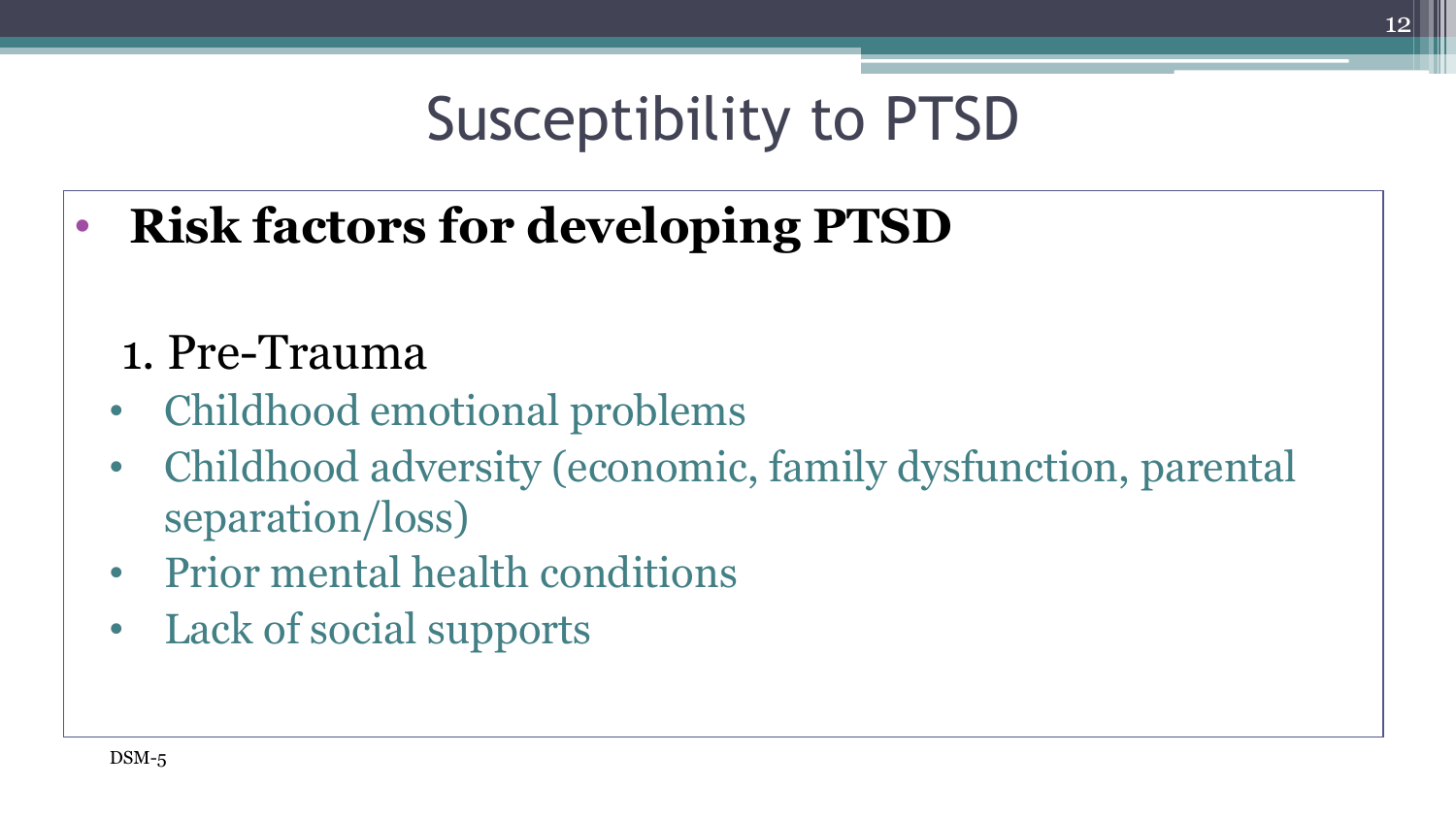# Susceptibility to PTSD

• **Risk factors for developing PTSD**

#### 1. Pre-Trauma

- Childhood emotional problems
- Childhood adversity (economic, family dysfunction, parental separation/loss)
- Prior mental health conditions
- Lack of social supports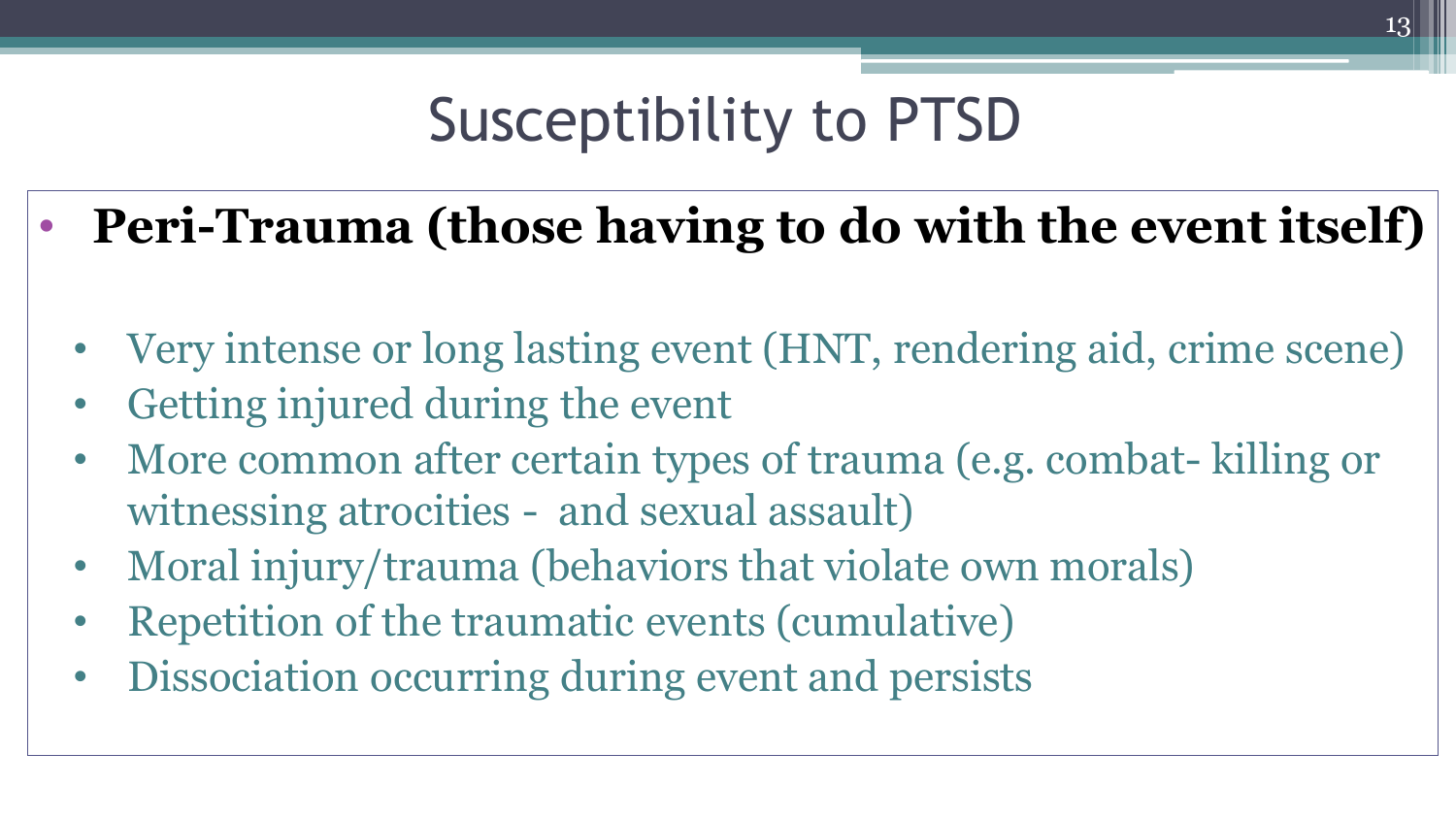# Susceptibility to PTSD

- **Peri-Trauma (those having to do with the event itself)**
	- Very intense or long lasting event (HNT, rendering aid, crime scene)
	- Getting injured during the event
	- More common after certain types of trauma (e.g. combat- killing or witnessing atrocities - and sexual assault)
	- Moral injury/trauma (behaviors that violate own morals)
	- Repetition of the traumatic events (cumulative)
	- Dissociation occurring during event and persists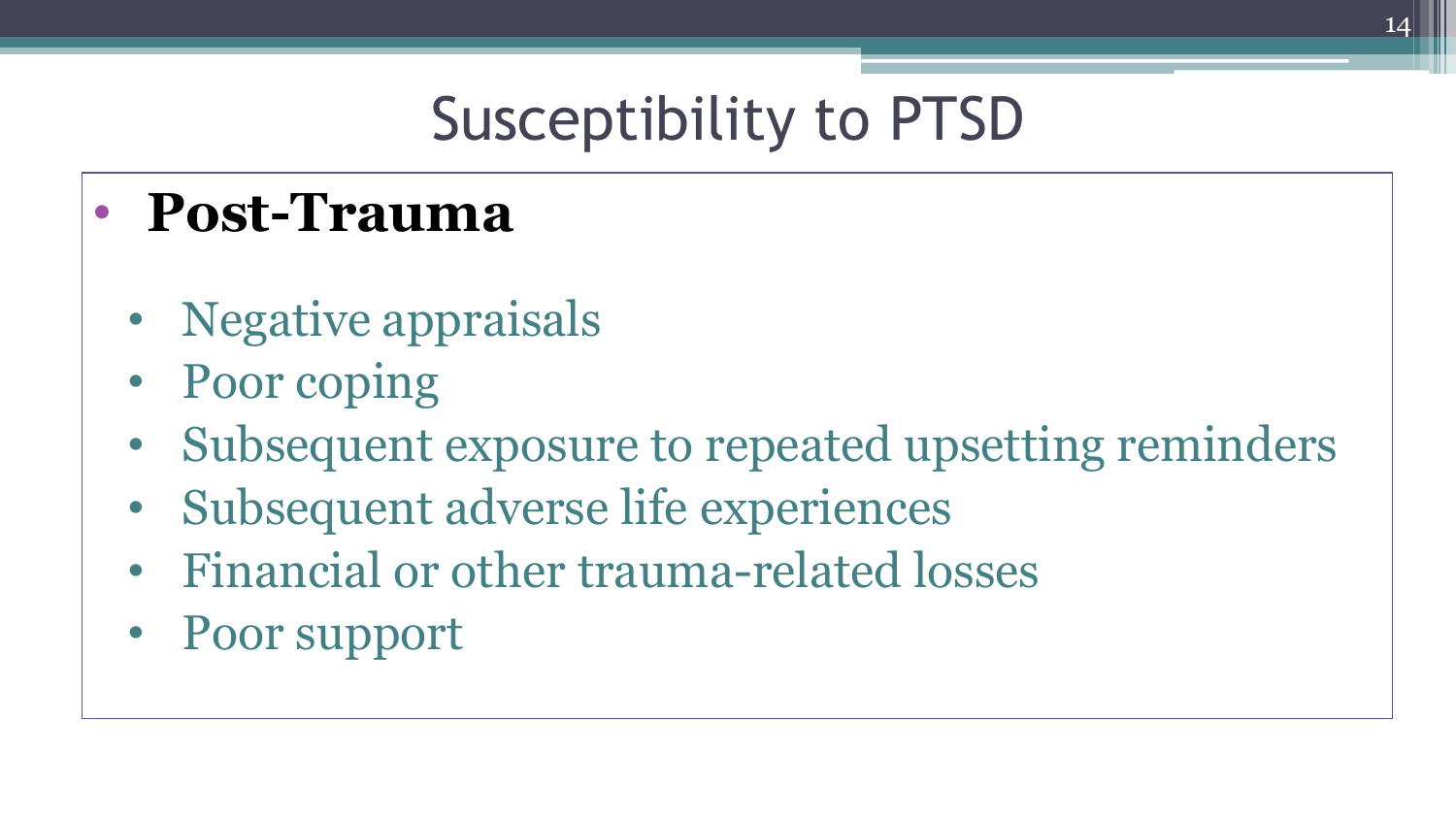# Susceptibility to PTSD

### • **Post-Trauma**

- Negative appraisals
- Poor coping
- Subsequent exposure to repeated upsetting reminders
- Subsequent adverse life experiences
- Financial or other trauma-related losses
- Poor support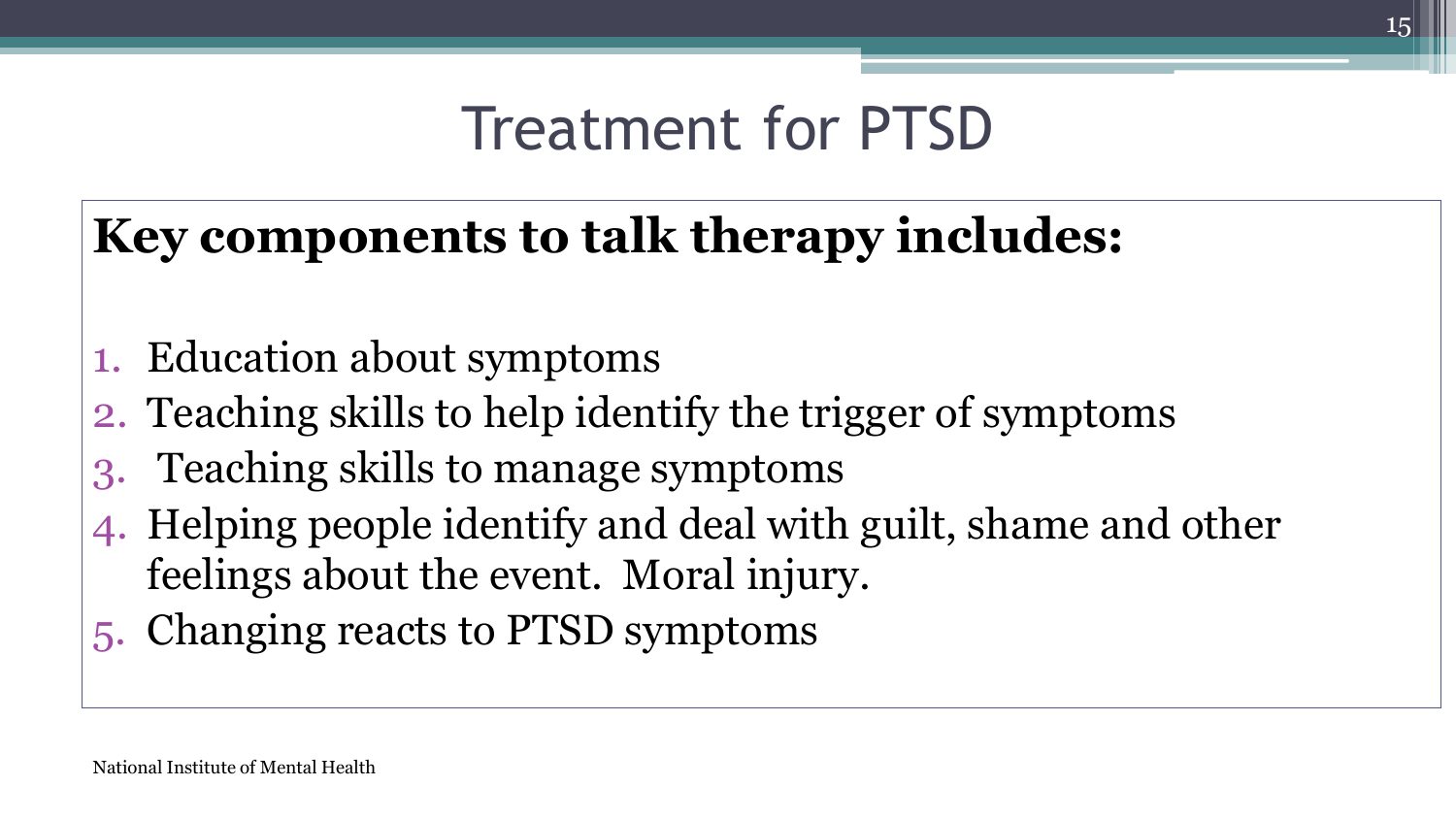### Treatment for PTSD

### **Key components to talk therapy includes:**

- 1. Education about symptoms
- 2. Teaching skills to help identify the trigger of symptoms
- 3. Teaching skills to manage symptoms
- 4. Helping people identify and deal with guilt, shame and other feelings about the event. Moral injury.
- 5. Changing reacts to PTSD symptoms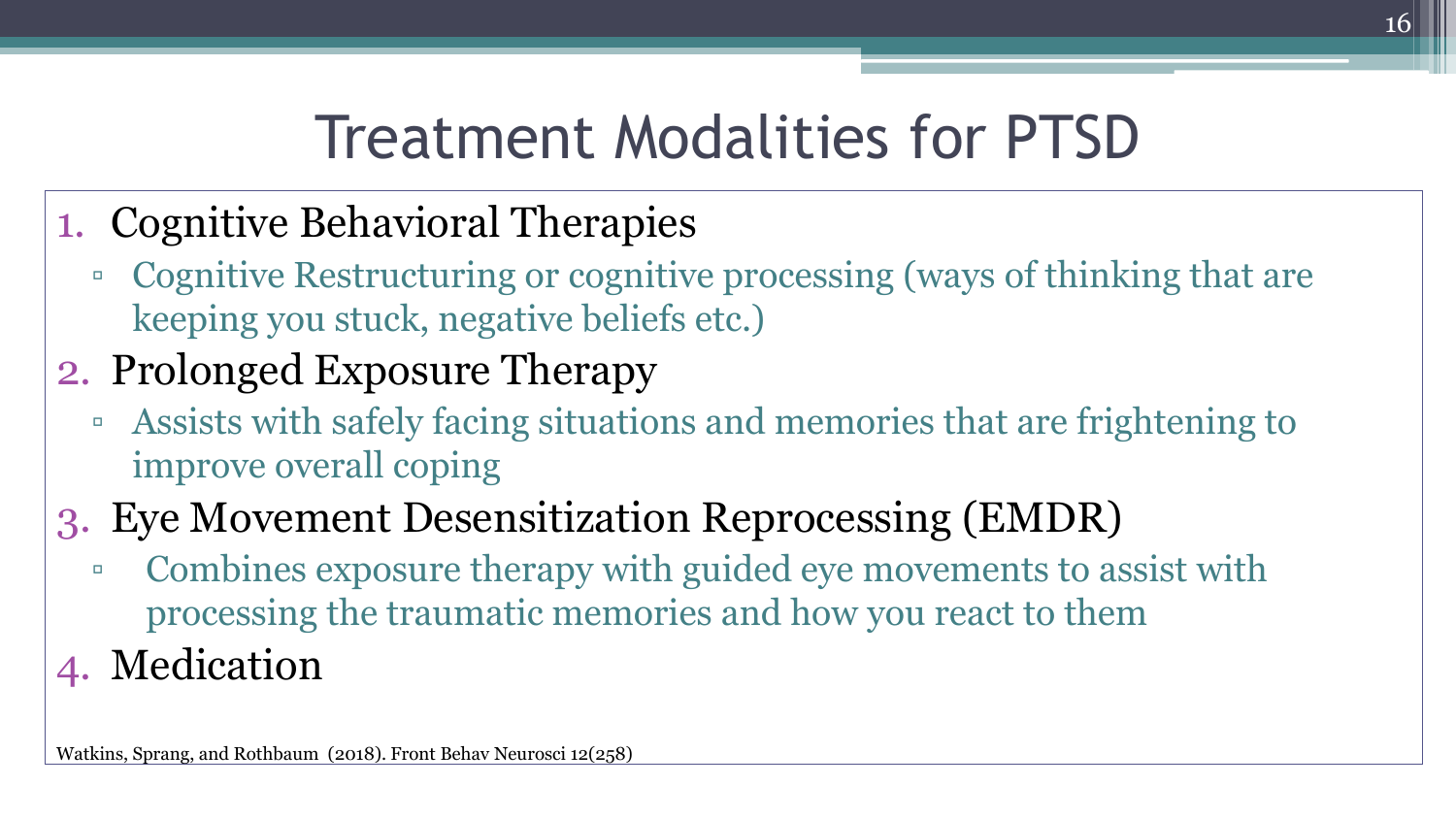## Treatment Modalities for PTSD

- 1. Cognitive Behavioral Therapies
	- Cognitive Restructuring or cognitive processing (ways of thinking that are keeping you stuck, negative beliefs etc.)
- 2. Prolonged Exposure Therapy
	- □ Assists with safely facing situations and memories that are frightening to improve overall coping
- 3. Eye Movement Desensitization Reprocessing (EMDR)
	- Combines exposure therapy with guided eye movements to assist with processing the traumatic memories and how you react to them
- 4. Medication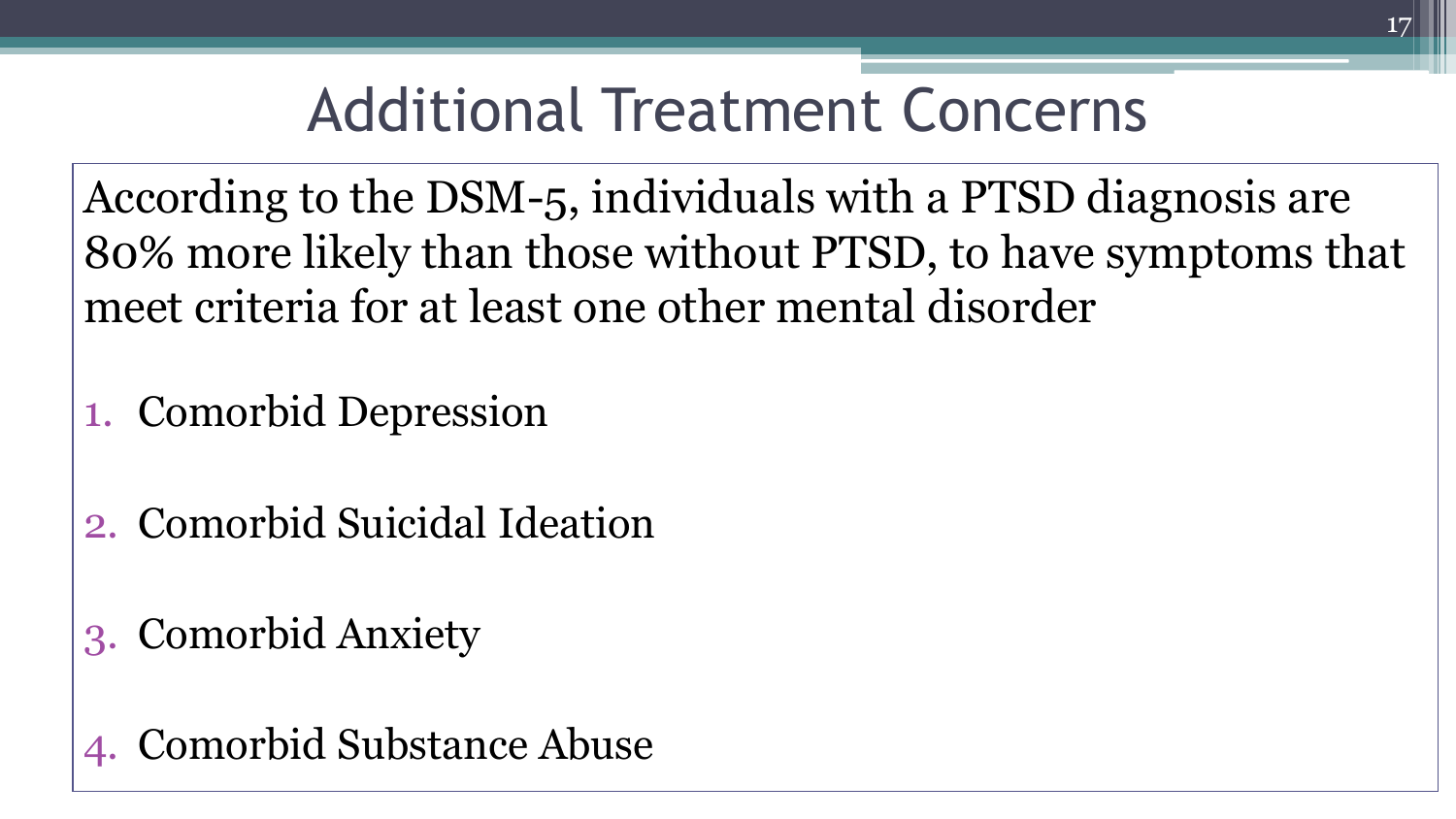## Additional Treatment Concerns

According to the DSM-5, individuals with a PTSD diagnosis are 80% more likely than those without PTSD, to have symptoms that meet criteria for at least one other mental disorder

- 1. Comorbid Depression
- 2. Comorbid Suicidal Ideation
- 3. Comorbid Anxiety

4. Comorbid Substance Abuse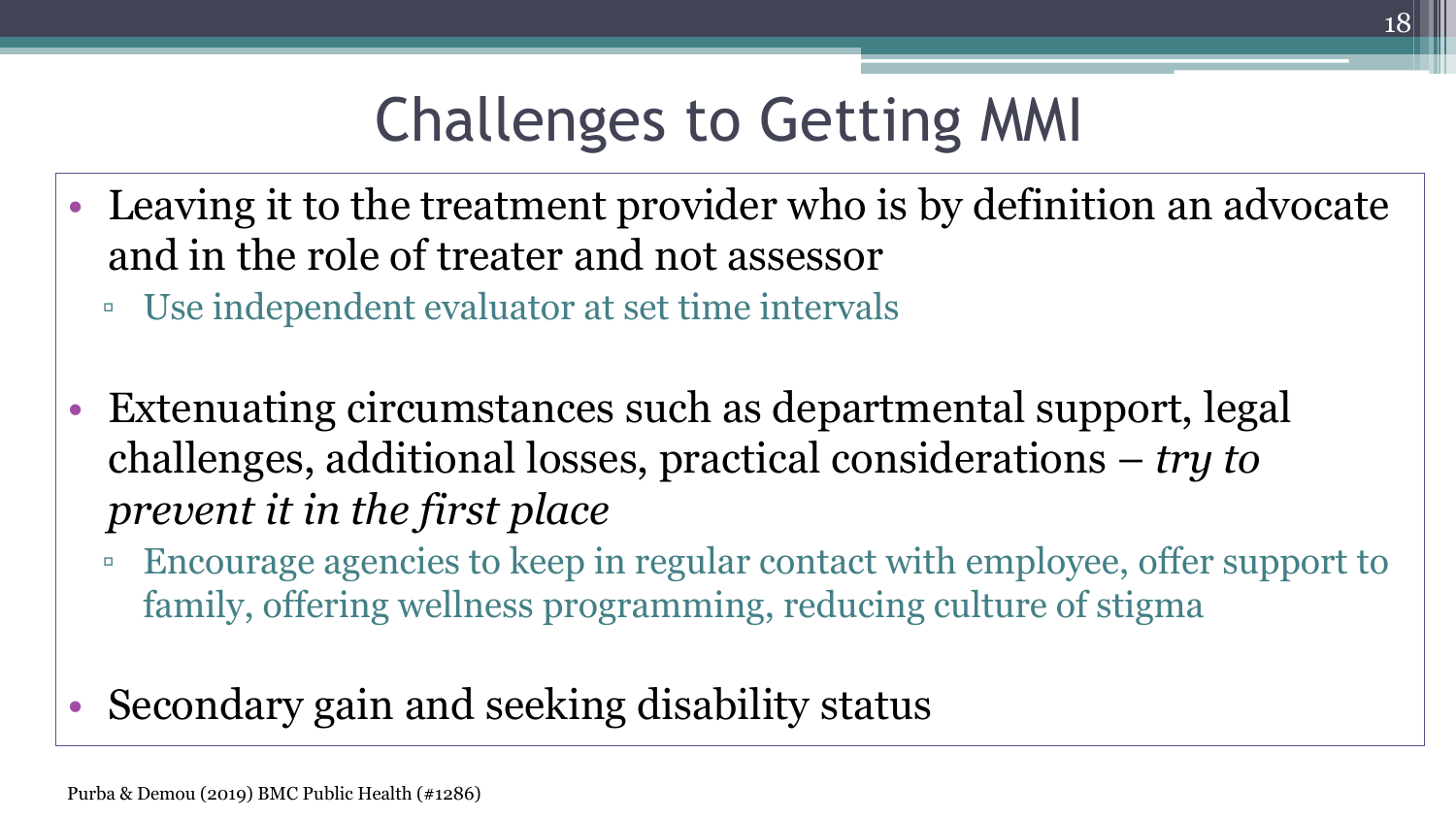# Challenges to Getting MMI

- Leaving it to the treatment provider who is by definition an advocate and in the role of treater and not assessor
	- Use independent evaluator at set time intervals
- Extenuating circumstances such as departmental support, legal challenges, additional losses, practical considerations – *try to prevent it in the first place*
	- Encourage agencies to keep in regular contact with employee, offer support to family, offering wellness programming, reducing culture of stigma

#### • Secondary gain and seeking disability status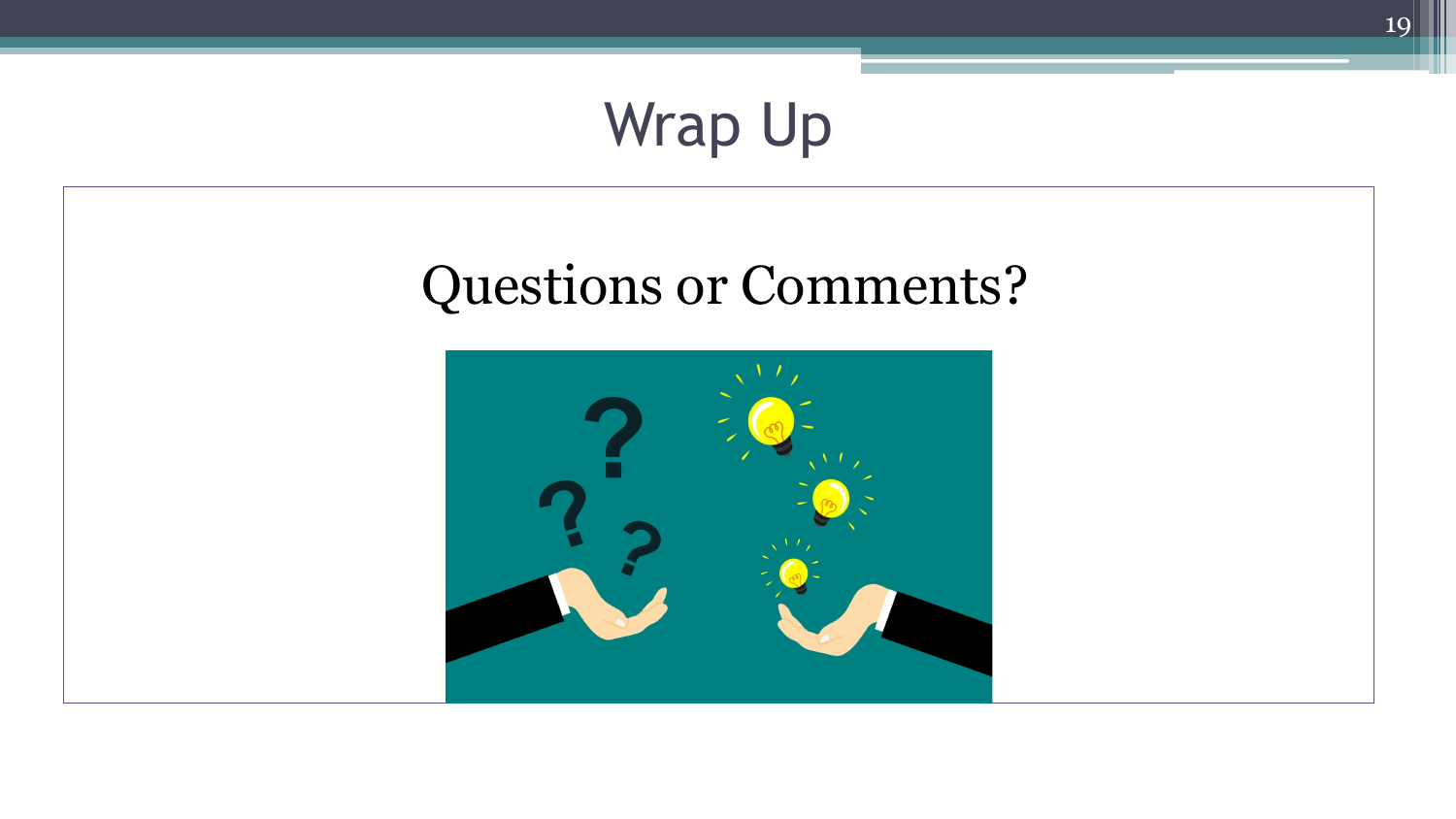